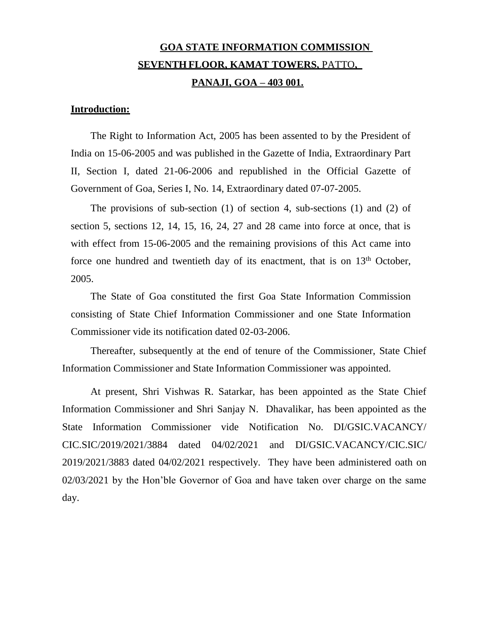# **GOA STATE INFORMATION COMMISSION SEVENTH FLOOR, KAMAT TOWERS,** PATTO**, PANAJI, GOA – 403 001.**

# **Introduction:**

The Right to Information Act, 2005 has been assented to by the President of India on 15-06-2005 and was published in the Gazette of India, Extraordinary Part II, Section I, dated 21-06-2006 and republished in the Official Gazette of Government of Goa, Series I, No. 14, Extraordinary dated 07-07-2005.

The provisions of sub-section (1) of section 4, sub-sections (1) and (2) of section 5, sections 12, 14, 15, 16, 24, 27 and 28 came into force at once, that is with effect from 15-06-2005 and the remaining provisions of this Act came into force one hundred and twentieth day of its enactment, that is on  $13<sup>th</sup>$  October, 2005.

The State of Goa constituted the first Goa State Information Commission consisting of State Chief Information Commissioner and one State Information Commissioner vide its notification dated 02-03-2006.

Thereafter, subsequently at the end of tenure of the Commissioner, State Chief Information Commissioner and State Information Commissioner was appointed.

At present, Shri Vishwas R. Satarkar, has been appointed as the State Chief Information Commissioner and Shri Sanjay N. Dhavalikar, has been appointed as the State Information Commissioner vide Notification No. DI/GSIC.VACANCY/ CIC.SIC/2019/2021/3884 dated 04/02/2021 and DI/GSIC.VACANCY/CIC.SIC/ 2019/2021/3883 dated 04/02/2021 respectively. They have been administered oath on 02/03/2021 by the Hon'ble Governor of Goa and have taken over charge on the same day.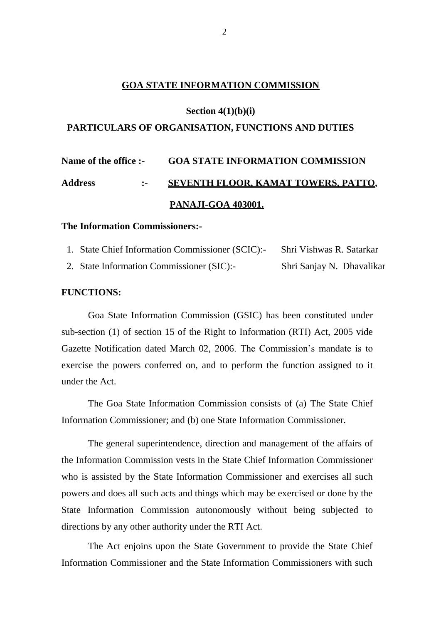# **GOA STATE INFORMATION COMMISSION**

#### **Section 4(1)(b)(i)**

#### **PARTICULARS OF ORGANISATION, FUNCTIONS AND DUTIES**

# **Name of the office :- GOA STATE INFORMATION COMMISSION Address :- SEVENTH FLOOR, KAMAT TOWERS, PATTO, PANAJI-GOA 403001.**

# **The Information Commissioners:-**

| 1. State Chief Information Commissioner (SCIC):- | Shri Vishwas R. Satarkar  |
|--------------------------------------------------|---------------------------|
| 2. State Information Commissioner (SIC):-        | Shri Sanjay N. Dhavalikar |

#### **FUNCTIONS:**

Goa State Information Commission (GSIC) has been constituted under sub-section (1) of section 15 of the Right to Information (RTI) Act, 2005 vide Gazette Notification dated March 02, 2006. The Commission's mandate is to exercise the powers conferred on, and to perform the function assigned to it under the Act.

The Goa State Information Commission consists of (a) The State Chief Information Commissioner; and (b) one State Information Commissioner.

The general superintendence, direction and management of the affairs of the Information Commission vests in the State Chief Information Commissioner who is assisted by the State Information Commissioner and exercises all such powers and does all such acts and things which may be exercised or done by the State Information Commission autonomously without being subjected to directions by any other authority under the RTI Act.

The Act enjoins upon the State Government to provide the State Chief Information Commissioner and the State Information Commissioners with such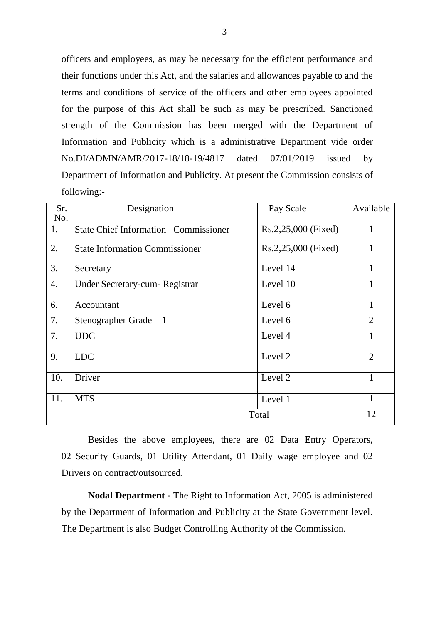officers and employees, as may be necessary for the efficient performance and their functions under this Act, and the salaries and allowances payable to and the terms and conditions of service of the officers and other employees appointed for the purpose of this Act shall be such as may be prescribed. Sanctioned strength of the Commission has been merged with the Department of Information and Publicity which is a administrative Department vide order No.DI/ADMN/AMR/2017-18/18-19/4817 dated 07/01/2019 issued by Department of Information and Publicity. At present the Commission consists of following:-

| Sr.<br>No. | Designation                                 | Pay Scale           | Available      |
|------------|---------------------------------------------|---------------------|----------------|
| 1.         | <b>State Chief Information Commissioner</b> | Rs.2,25,000 (Fixed) | $\mathbf{1}$   |
| 2.         | <b>State Information Commissioner</b>       | Rs.2,25,000 (Fixed) |                |
| 3.         | Secretary                                   | Level 14            | 1              |
| 4.         | Under Secretary-cum-Registrar               | Level 10            |                |
| 6.         | Accountant                                  | Level 6             | 1              |
| 7.         | Stenographer Grade $\overline{-1}$          | Level 6             | $\overline{2}$ |
| 7.         | <b>UDC</b>                                  | Level 4             | 1              |
| 9.         | <b>LDC</b>                                  | Level 2             | $\overline{2}$ |
| 10.        | Driver                                      | Level 2             | $\mathbf{1}$   |
| 11.        | <b>MTS</b>                                  | Level 1             | 1              |
|            |                                             | Total               | 12             |

Besides the above employees, there are 02 Data Entry Operators, 02 Security Guards, 01 Utility Attendant, 01 Daily wage employee and 02 Drivers on contract/outsourced.

**Nodal Department** - The Right to Information Act, 2005 is administered by the Department of Information and Publicity at the State Government level. The Department is also Budget Controlling Authority of the Commission.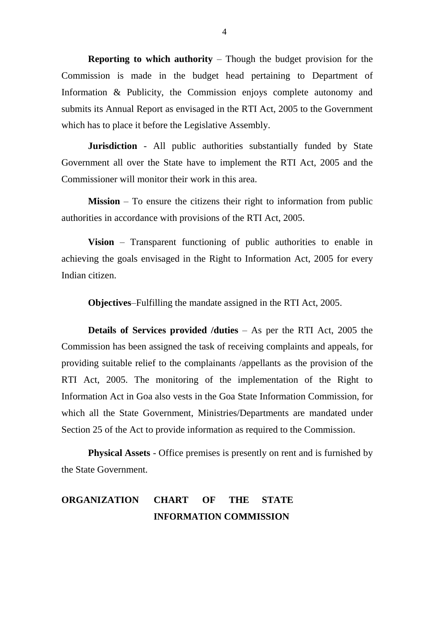**Reporting to which authority** – Though the budget provision for the Commission is made in the budget head pertaining to Department of Information & Publicity, the Commission enjoys complete autonomy and submits its Annual Report as envisaged in the RTI Act, 2005 to the Government which has to place it before the Legislative Assembly.

**Jurisdiction** - All public authorities substantially funded by State Government all over the State have to implement the RTI Act, 2005 and the Commissioner will monitor their work in this area.

**Mission** – To ensure the citizens their right to information from public authorities in accordance with provisions of the RTI Act, 2005.

**Vision** – Transparent functioning of public authorities to enable in achieving the goals envisaged in the Right to Information Act, 2005 for every Indian citizen.

**Objectives**–Fulfilling the mandate assigned in the RTI Act, 2005.

**Details of Services provided /duties** – As per the RTI Act, 2005 the Commission has been assigned the task of receiving complaints and appeals, for providing suitable relief to the complainants /appellants as the provision of the RTI Act, 2005. The monitoring of the implementation of the Right to Information Act in Goa also vests in the Goa State Information Commission, for which all the State Government, Ministries/Departments are mandated under Section 25 of the Act to provide information as required to the Commission.

**Physical Assets** - Office premises is presently on rent and is furnished by the State Government.

# **ORGANIZATION CHART OF THE STATE INFORMATION COMMISSION**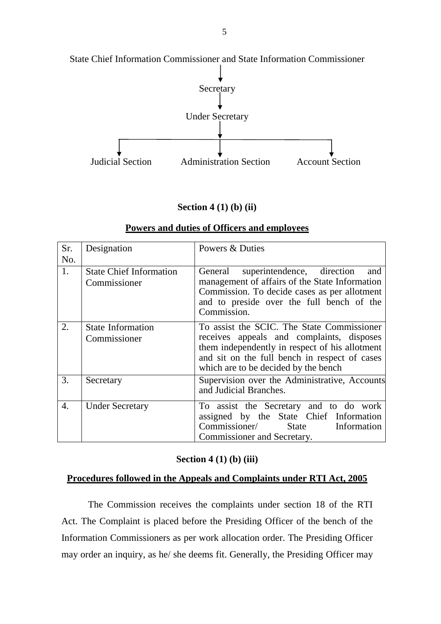

State Chief Information Commissioner and State Information Commissioner

# **Section 4 (1) (b) (ii)**

| Sr.<br>No. | Designation                                    | Powers & Duties                                                                                                                                                                                                                    |
|------------|------------------------------------------------|------------------------------------------------------------------------------------------------------------------------------------------------------------------------------------------------------------------------------------|
| 1.         | <b>State Chief Information</b><br>Commissioner | superintendence, direction and<br>General<br>management of affairs of the State Information<br>Commission. To decide cases as per allotment<br>and to preside over the full bench of the<br>Commission.                            |
| 2.         | <b>State Information</b><br>Commissioner       | To assist the SCIC. The State Commissioner<br>receives appeals and complaints, disposes<br>them independently in respect of his allotment<br>and sit on the full bench in respect of cases<br>which are to be decided by the bench |
| 3.         | Secretary                                      | Supervision over the Administrative, Accounts<br>and Judicial Branches.                                                                                                                                                            |
| 4.         | <b>Under Secretary</b>                         | To assist the Secretary and to do work<br>assigned by the State Chief Information<br>Commissioner/ State<br>Information<br>Commissioner and Secretary.                                                                             |

#### **Powers and duties of Officers and employees**

# **Section 4 (1) (b) (iii)**

#### **Procedures followed in the Appeals and Complaints under RTI Act, 2005**

The Commission receives the complaints under section 18 of the RTI Act. The Complaint is placed before the Presiding Officer of the bench of the Information Commissioners as per work allocation order. The Presiding Officer may order an inquiry, as he/ she deems fit. Generally, the Presiding Officer may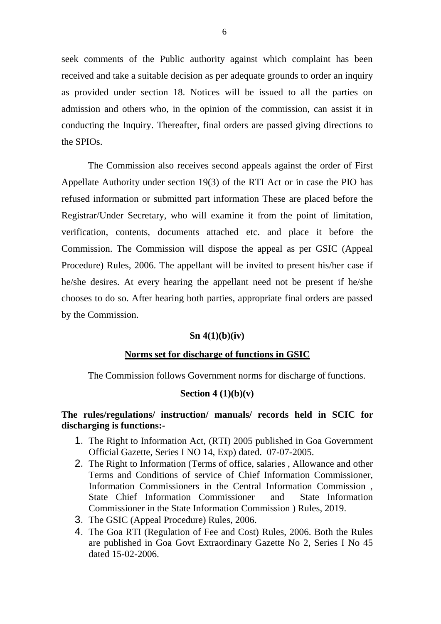seek comments of the Public authority against which complaint has been received and take a suitable decision as per adequate grounds to order an inquiry as provided under section 18. Notices will be issued to all the parties on admission and others who, in the opinion of the commission, can assist it in conducting the Inquiry. Thereafter, final orders are passed giving directions to the SPIOs.

The Commission also receives second appeals against the order of First Appellate Authority under section 19(3) of the RTI Act or in case the PIO has refused information or submitted part information These are placed before the Registrar/Under Secretary, who will examine it from the point of limitation, verification, contents, documents attached etc. and place it before the Commission. The Commission will dispose the appeal as per GSIC (Appeal Procedure) Rules, 2006. The appellant will be invited to present his/her case if he/she desires. At every hearing the appellant need not be present if he/she chooses to do so. After hearing both parties, appropriate final orders are passed by the Commission.

#### **Sn 4(1)(b)(iv)**

# **Norms set for discharge of functions in GSIC**

The Commission follows Government norms for discharge of functions.

#### **Section 4 (1)(b)(v)**

# **The rules/regulations/ instruction/ manuals/ records held in SCIC for discharging is functions:-**

- 1. The Right to Information Act, (RTI) 2005 published in Goa Government Official Gazette, Series I NO 14, Exp) dated. 07-07-2005.
- 2. The Right to Information (Terms of office, salaries , Allowance and other Terms and Conditions of service of Chief Information Commissioner, Information Commissioners in the Central Information Commission , State Chief Information Commissioner and State Information Commissioner in the State Information Commission ) Rules, 2019.
- 3. The GSIC (Appeal Procedure) Rules, 2006.
- 4. The Goa RTI (Regulation of Fee and Cost) Rules, 2006. Both the Rules are published in Goa Govt Extraordinary Gazette No 2, Series I No 45 dated 15-02-2006.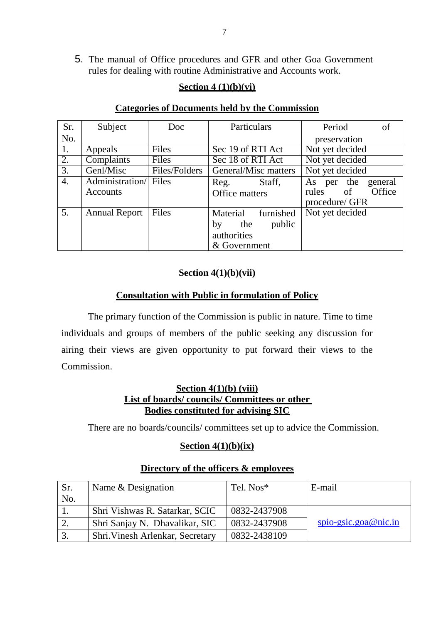5. The manual of Office procedures and GFR and other Goa Government rules for dealing with routine Administrative and Accounts work.

# **Section 4 (1)(b)(vi)**

# **Categories of Documents held by the Commission**

| Sr.              | Subject                           | Doc           | Particulars                                                              | Period<br>οf                                                        |
|------------------|-----------------------------------|---------------|--------------------------------------------------------------------------|---------------------------------------------------------------------|
| No.              |                                   |               |                                                                          | preservation                                                        |
| 1.               | Appeals                           | Files         | Sec 19 of RTI Act                                                        | Not yet decided                                                     |
| $\overline{2}$ . | Complaints                        | Files         | Sec 18 of RTI Act                                                        | Not yet decided                                                     |
| $\overline{3}$ . | Genl/Misc                         | Files/Folders | General/Misc matters                                                     | Not yet decided                                                     |
| $\overline{4}$ . | Administration/ Files<br>Accounts |               | Staff,<br>Reg.<br>Office matters                                         | the<br>As per<br>general<br>of<br>Office<br>rules<br>procedure/ GFR |
| 5.               | <b>Annual Report</b>              | Files         | Material furnished<br>public<br>the<br>by<br>authorities<br>& Government | Not yet decided                                                     |

# **Section 4(1)(b)(vii)**

# **Consultation with Public in formulation of Policy**

The primary function of the Commission is public in nature. Time to time individuals and groups of members of the public seeking any discussion for airing their views are given opportunity to put forward their views to the Commission.

# **Section 4(1)(b) (viii) List of boards/ councils/ Committees or other Bodies constituted for advising SIC**

There are no boards/councils/ committees set up to advice the Commission.

# **Section 4(1)(b)(ix)**

| Sr. | Name & Designation               | Tel. Nos*    | E-mail                                |
|-----|----------------------------------|--------------|---------------------------------------|
| No. |                                  |              |                                       |
|     | Shri Vishwas R. Satarkar, SCIC   | 0832-2437908 |                                       |
|     | Shri Sanjay N. Dhavalikar, SIC   | 0832-2437908 | $\frac{\text{spio-gsic.goa@nic.in}}{$ |
| 3.  | Shri. Vinesh Arlenkar, Secretary | 0832-2438109 |                                       |

#### **Directory of the officers & employees**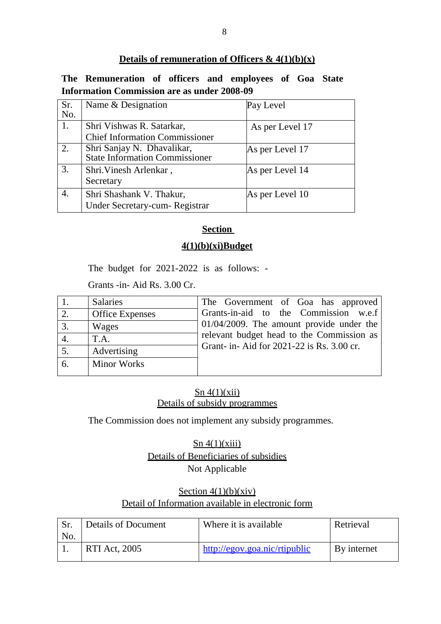# **Details of remuneration of Officers & 4(1)(b)(x)**

# **The Remuneration of officers and employees of Goa State Information Commission are as under 2008-09**

| Sr. | Name & Designation                    | Pay Level       |
|-----|---------------------------------------|-----------------|
| No. |                                       |                 |
| 1.  | Shri Vishwas R. Satarkar,             | As per Level 17 |
|     | <b>Chief Information Commissioner</b> |                 |
| 2.  | Shri Sanjay N. Dhavalikar,            | As per Level 17 |
|     | <b>State Information Commissioner</b> |                 |
| 3.  | Shri. Vinesh Arlenkar,                | As per Level 14 |
|     | Secretary                             |                 |
| 4.  | Shri Shashank V. Thakur,              | As per Level 10 |
|     | Under Secretary-cum-Registrar         |                 |

# **Section**

# **4(1)(b)(xi)Budget**

The budget for 2021-2022 is as follows: -

Grants -in- Aid Rs. 3.00 Cr.

|                  | <b>Salaries</b>        | The Government of Goa has approved          |
|------------------|------------------------|---------------------------------------------|
| 2.               | <b>Office Expenses</b> | Grants-in-aid to the Commission w.e.f       |
| 3.               | Wages                  | $01/04/2009$ . The amount provide under the |
| $\overline{4}$ . | T.A.                   | relevant budget head to the Commission as   |
| 5.               | Advertising            | Grant- in- Aid for 2021-22 is Rs. 3.00 cr.  |
| 6.               | <b>Minor Works</b>     |                                             |

# $\text{Sn }4(1)(\text{xii})$ Details of subsidy programmes

The Commission does not implement any subsidy programmes.

 $\text{Sn }4(1)(\text{xiii})$ Details of Beneficiaries of subsidies Not Applicable

# Section  $4(1)(b)(xiv)$ Detail of Information available in electronic form

| No. | <b>Details of Document</b> | Where it is available         | Retrieval   |
|-----|----------------------------|-------------------------------|-------------|
|     | <b>RTI Act, 2005</b>       | http://egov.goa.nic/rtipublic | By internet |